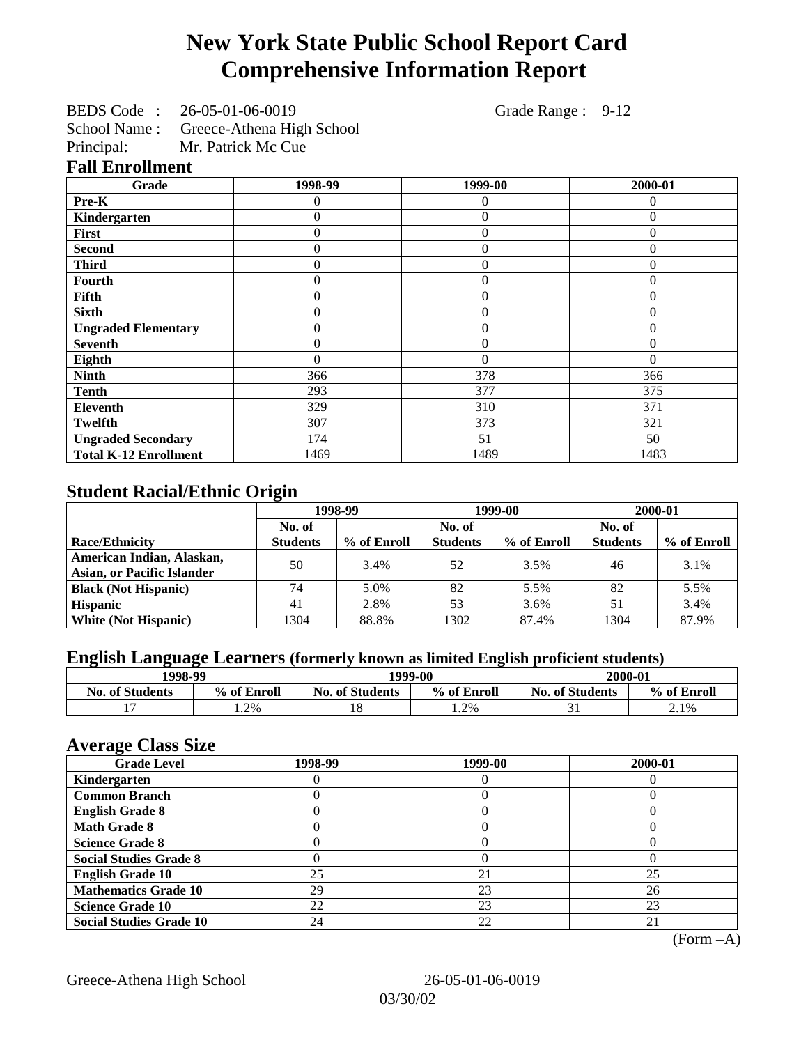## **New York State Public School Report Card Comprehensive Information Report**

BEDS Code : 26-05-01-06-0019 Grade Range : 9-12

School Name : Greece-Athena High School

Principal: Mr. Patrick Mc Cue

**Fall Enrollment**

| Grade                        | 1998-99  | 1999-00          | 2000-01  |
|------------------------------|----------|------------------|----------|
| Pre-K                        |          | $\theta$         | 0        |
| Kindergarten                 | $\theta$ | $\overline{0}$   | $\Omega$ |
| First                        | $\theta$ | $\boldsymbol{0}$ | $\Omega$ |
| <b>Second</b>                | $\theta$ | $\theta$         | $\Omega$ |
| <b>Third</b>                 | $\Omega$ | $\theta$         | $\Omega$ |
| Fourth                       | $\Omega$ | $\theta$         | $\theta$ |
| Fifth                        | $\Omega$ | $\overline{0}$   | 0        |
| <b>Sixth</b>                 |          | $\overline{0}$   | $\theta$ |
| <b>Ungraded Elementary</b>   | $\theta$ | $\overline{0}$   | $\theta$ |
| <b>Seventh</b>               | $\theta$ | $\theta$         | $\theta$ |
| Eighth                       | $\Omega$ | $\theta$         | $\Omega$ |
| <b>Ninth</b>                 | 366      | 378              | 366      |
| <b>Tenth</b>                 | 293      | 377              | 375      |
| <b>Eleventh</b>              | 329      | 310              | 371      |
| <b>Twelfth</b>               | 307      | 373              | 321      |
| <b>Ungraded Secondary</b>    | 174      | 51               | 50       |
| <b>Total K-12 Enrollment</b> | 1469     | 1489             | 1483     |

## **Student Racial/Ethnic Origin**

|                                   | 1998-99         |             |                 | 1999-00     | 2000-01         |             |
|-----------------------------------|-----------------|-------------|-----------------|-------------|-----------------|-------------|
|                                   | No. of          |             | No. of          |             | No. of          |             |
| <b>Race/Ethnicity</b>             | <b>Students</b> | % of Enroll | <b>Students</b> | % of Enroll | <b>Students</b> | % of Enroll |
| American Indian, Alaskan,         | 50              | 3.4%        | 52              | 3.5%        | 46              | 3.1%        |
| <b>Asian, or Pacific Islander</b> |                 |             |                 |             |                 |             |
| <b>Black (Not Hispanic)</b>       | 74              | 5.0%        | 82              | 5.5%        | 82              | 5.5%        |
| <b>Hispanic</b>                   | 41              | 2.8%        | 53              | 3.6%        | 51              | 3.4%        |
| <b>White (Not Hispanic)</b>       | 1304            | 88.8%       | 1302            | 87.4%       | 1304            | 87.9%       |

### **English Language Learners (formerly known as limited English proficient students)**

|                        | 1998-99<br>1999-00 |                                       | 2000-01 |                        |             |
|------------------------|--------------------|---------------------------------------|---------|------------------------|-------------|
| <b>No. of Students</b> | % of Enroll        | <b>No. of Students</b><br>% of Enroll |         | <b>No. of Students</b> | % of Enroll |
|                        | 1.2%               | 18                                    | 1.2%    |                        | 2.1%        |

#### **Average Class Size**

| <b>Grade Level</b>             | 1998-99 | 1999-00 | 2000-01 |
|--------------------------------|---------|---------|---------|
| Kindergarten                   |         |         |         |
| <b>Common Branch</b>           |         |         |         |
| <b>English Grade 8</b>         |         |         |         |
| <b>Math Grade 8</b>            |         |         |         |
| <b>Science Grade 8</b>         |         |         |         |
| <b>Social Studies Grade 8</b>  |         |         |         |
| <b>English Grade 10</b>        | 25      | 21      | 25      |
| <b>Mathematics Grade 10</b>    | 29      | 23      | 26      |
| <b>Science Grade 10</b>        | 22      | 23      | 23      |
| <b>Social Studies Grade 10</b> | 24      | 22      |         |

(Form –A)

Greece-Athena High School 26-05-01-06-0019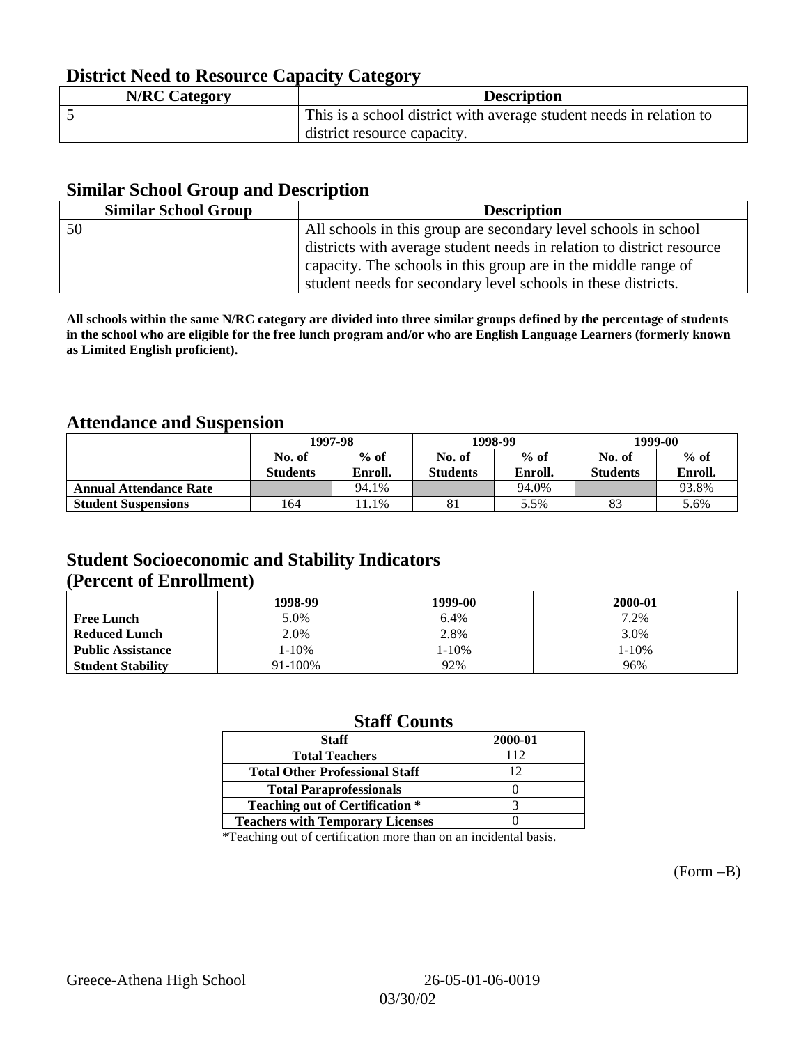### **District Need to Resource Capacity Category**

| <b>N/RC Category</b> | <b>Description</b>                                                  |
|----------------------|---------------------------------------------------------------------|
|                      | This is a school district with average student needs in relation to |
|                      | district resource capacity.                                         |

#### **Similar School Group and Description**

| <b>Similar School Group</b> | <b>Description</b>                                                    |
|-----------------------------|-----------------------------------------------------------------------|
| 50                          | All schools in this group are secondary level schools in school       |
|                             | districts with average student needs in relation to district resource |
|                             | capacity. The schools in this group are in the middle range of        |
|                             | student needs for secondary level schools in these districts.         |

**All schools within the same N/RC category are divided into three similar groups defined by the percentage of students in the school who are eligible for the free lunch program and/or who are English Language Learners (formerly known as Limited English proficient).**

### **Attendance and Suspension**

|                               |                 | 1997-98 |                 | 1998-99 | 1999-00         |         |
|-------------------------------|-----------------|---------|-----------------|---------|-----------------|---------|
|                               | No. of          | $%$ of  |                 | $%$ of  | No. of          | $%$ of  |
|                               | <b>Students</b> | Enroll. | <b>Students</b> | Enroll. | <b>Students</b> | Enroll. |
| <b>Annual Attendance Rate</b> |                 | 94.1%   |                 | 94.0%   |                 | 93.8%   |
| <b>Student Suspensions</b>    | 164             | 1.1%    | 81              | 5.5%    | 83              | 5.6%    |

### **Student Socioeconomic and Stability Indicators (Percent of Enrollment)**

|                          | 1998-99    | 1999-00 | 2000-01 |
|--------------------------|------------|---------|---------|
| <b>Free Lunch</b>        | 5.0%       | 6.4%    | 7.2%    |
| <b>Reduced Lunch</b>     | 2.0%       | 2.8%    | 3.0%    |
| <b>Public Assistance</b> | $1 - 10\%$ | $-10%$  | 1-10%   |
| <b>Student Stability</b> | 91-100%    | 92%     | 96%     |

### **Staff Counts**

| <b>Staff</b>                            | 2000-01 |
|-----------------------------------------|---------|
| <b>Total Teachers</b>                   | 112     |
| <b>Total Other Professional Staff</b>   | 12      |
| <b>Total Paraprofessionals</b>          |         |
| <b>Teaching out of Certification *</b>  |         |
| <b>Teachers with Temporary Licenses</b> |         |

\*Teaching out of certification more than on an incidental basis.

(Form –B)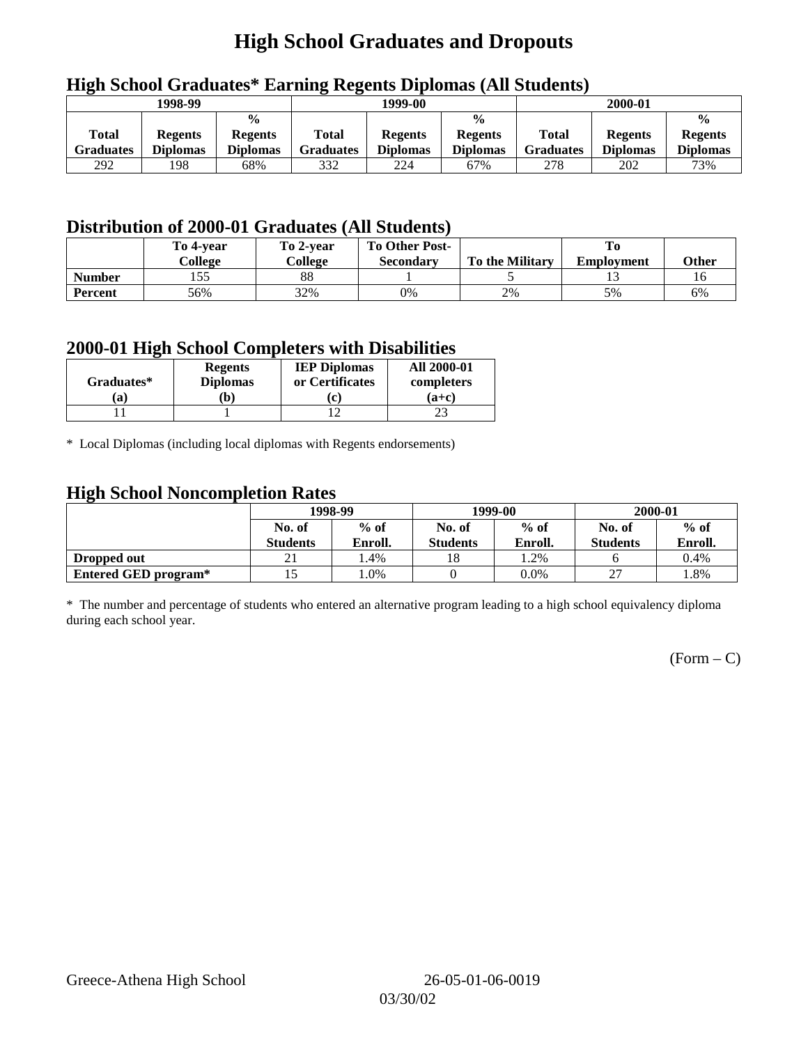## **High School Graduates and Dropouts**

|                           | 1998-99                           |                                                    |                           | 1999-00                           |                                                    |                                  | 2000-01                           |                                                    |
|---------------------------|-----------------------------------|----------------------------------------------------|---------------------------|-----------------------------------|----------------------------------------------------|----------------------------------|-----------------------------------|----------------------------------------------------|
| <b>Total</b><br>Graduates | <b>Regents</b><br><b>Diplomas</b> | $\frac{0}{0}$<br><b>Regents</b><br><b>Diplomas</b> | Total<br><b>Graduates</b> | <b>Regents</b><br><b>Diplomas</b> | $\frac{6}{6}$<br><b>Regents</b><br><b>Diplomas</b> | <b>Total</b><br><b>Graduates</b> | <b>Regents</b><br><b>Diplomas</b> | $\frac{0}{0}$<br><b>Regents</b><br><b>Diplomas</b> |
| 292                       | 198                               | 68%                                                | 332                       | 224                               | 67%                                                | 278                              | 202                               | 73%                                                |

## **High School Graduates\* Earning Regents Diplomas (All Students)**

## **Distribution of 2000-01 Graduates (All Students)**

|                | To 4-vear | To 2-year | <b>To Other Post-</b> |                        |                   |       |
|----------------|-----------|-----------|-----------------------|------------------------|-------------------|-------|
|                | College   | College   | <b>Secondary</b>      | <b>To the Military</b> | <b>Employment</b> | Other |
| <b>Number</b>  | 155       | 88        |                       |                        |                   |       |
| <b>Percent</b> | 56%       | 32%       | 0%                    | 2%                     | 5%                | 6%    |

#### **2000-01 High School Completers with Disabilities**

| Graduates* | <b>Regents</b><br><b>Diplomas</b> | <b>IEP Diplomas</b><br>or Certificates | <b>All 2000-01</b><br>completers |
|------------|-----------------------------------|----------------------------------------|----------------------------------|
| 'a         | b)                                | $\epsilon$                             | $(a+c)$                          |
|            |                                   |                                        |                                  |

\* Local Diplomas (including local diplomas with Regents endorsements)

### **High School Noncompletion Rates**

| ັ                    | 1998-99         |         |                 | 1999-00 | 2000-01         |         |
|----------------------|-----------------|---------|-----------------|---------|-----------------|---------|
|                      | No. of          | $%$ of  | No. of          | $%$ of  | No. of          | $%$ of  |
|                      | <b>Students</b> | Enroll. | <b>Students</b> | Enroll. | <b>Students</b> | Enroll. |
| Dropped out          | 21              | l.4%    | 18              | 1.2%    |                 | 0.4%    |
| Entered GED program* | ن 1             | 1.0%    |                 | $0.0\%$ | $\sim$          | 1.8%    |

\* The number and percentage of students who entered an alternative program leading to a high school equivalency diploma during each school year.

 $(Form - C)$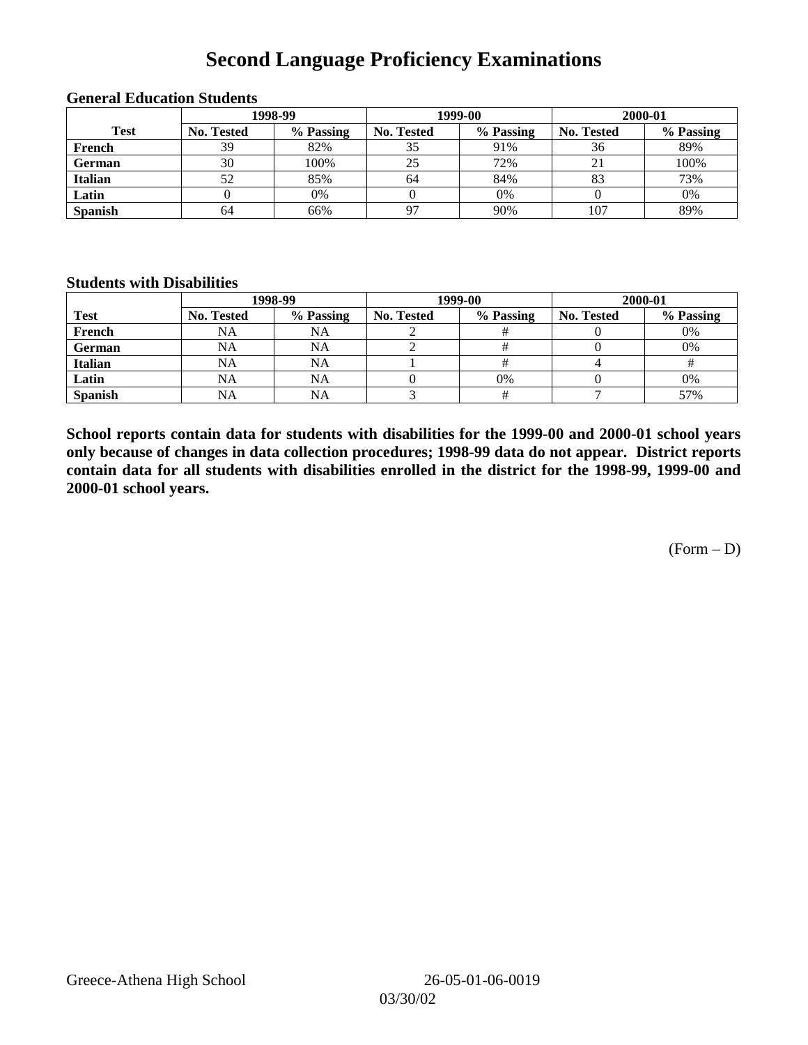## **Second Language Proficiency Examinations**

|                | 1998-99    |           |                   | 1999-00   | 2000-01           |           |  |
|----------------|------------|-----------|-------------------|-----------|-------------------|-----------|--|
| <b>Test</b>    | No. Tested | % Passing | <b>No. Tested</b> | % Passing | <b>No. Tested</b> | % Passing |  |
| French         | 39         | 82%       | 35                | 91%       | 36                | 89%       |  |
| <b>German</b>  | 30         | 100%      | 25                | 72%       |                   | 100%      |  |
| <b>Italian</b> | 52         | 85%       | 64                | 84%       |                   | 73%       |  |
| Latin          |            | 0%        |                   | 0%        |                   | 0%        |  |
| <b>Spanish</b> | 64         | 66%       | 97                | 90%       | 107               | 89%       |  |

#### **General Education Students**

#### **Students with Disabilities**

|                | 1998-99    |           |                   | 1999-00   | 2000-01    |           |  |
|----------------|------------|-----------|-------------------|-----------|------------|-----------|--|
| <b>Test</b>    | No. Tested | % Passing | <b>No. Tested</b> | % Passing | No. Tested | % Passing |  |
| French         | <b>NA</b>  | <b>NA</b> |                   |           |            | 0%        |  |
| German         | NA         | <b>NA</b> |                   |           |            | 0%        |  |
| <b>Italian</b> | <b>NA</b>  | <b>NA</b> |                   |           |            |           |  |
| Latin          | <b>NA</b>  | NA        |                   | 0%        |            | 0%        |  |
| <b>Spanish</b> | <b>NA</b>  | NA        |                   |           |            | 57%       |  |

**School reports contain data for students with disabilities for the 1999-00 and 2000-01 school years only because of changes in data collection procedures; 1998-99 data do not appear. District reports contain data for all students with disabilities enrolled in the district for the 1998-99, 1999-00 and 2000-01 school years.**

 $(Form - D)$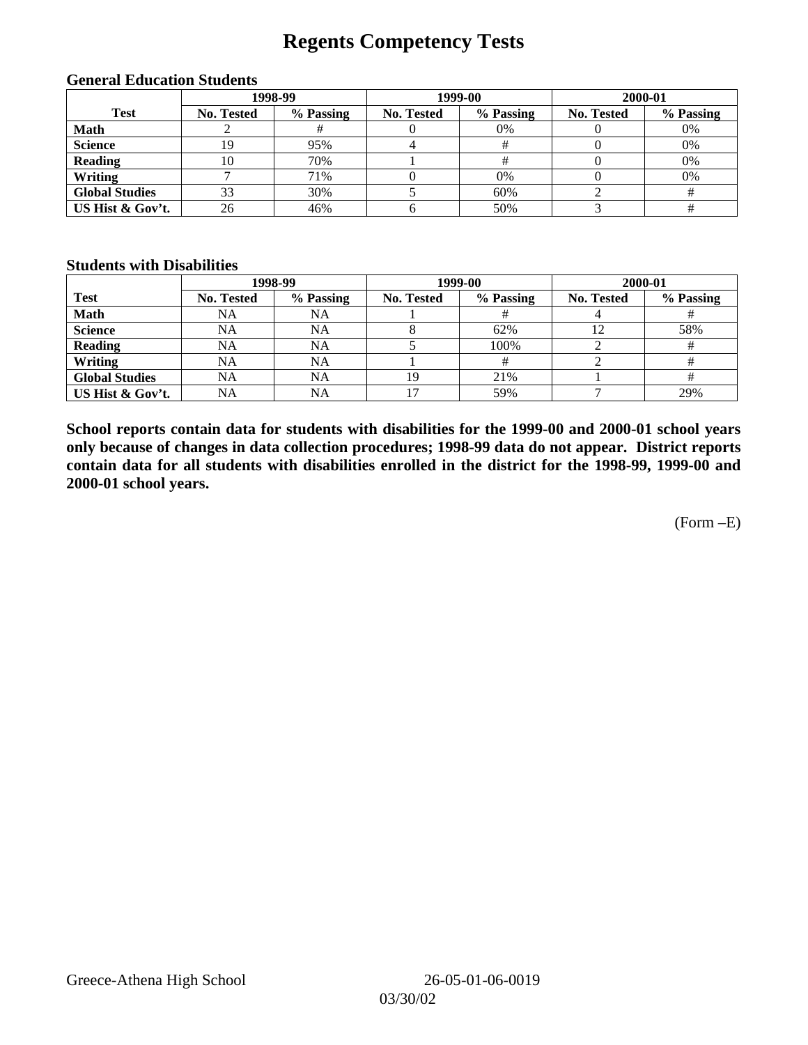## **Regents Competency Tests**

|                       | 1998-99    |           |                   | 1999-00   | 2000-01           |           |
|-----------------------|------------|-----------|-------------------|-----------|-------------------|-----------|
| <b>Test</b>           | No. Tested | % Passing | <b>No. Tested</b> | % Passing | <b>No. Tested</b> | % Passing |
| <b>Math</b>           |            |           |                   | $0\%$     |                   | 0%        |
| <b>Science</b>        | 19         | 95%       |                   |           |                   | 0%        |
| <b>Reading</b>        | 10         | 70%       |                   |           |                   | 0%        |
| Writing               |            | 71%       |                   | 0%        |                   | 0%        |
| <b>Global Studies</b> | 33         | 30%       |                   | 60%       |                   |           |
| US Hist & Gov't.      | 26         | 46%       |                   | 50%       |                   |           |

#### **General Education Students**

#### **Students with Disabilities**

|                       |                   | 1998-99   |            | 1999-00   | 2000-01    |           |
|-----------------------|-------------------|-----------|------------|-----------|------------|-----------|
| <b>Test</b>           | <b>No. Tested</b> | % Passing | No. Tested | % Passing | No. Tested | % Passing |
| <b>Math</b>           | NA                | NA        |            |           |            |           |
| <b>Science</b>        | NA                | NA        |            | 62%       |            | 58%       |
| <b>Reading</b>        | NA                | <b>NA</b> |            | 100%      |            |           |
| Writing               | NA                | NA        |            |           |            |           |
| <b>Global Studies</b> | NA                | NA        | 19         | 21%       |            |           |
| US Hist & Gov't.      | NA                | <b>NA</b> |            | 59%       |            | 29%       |

**School reports contain data for students with disabilities for the 1999-00 and 2000-01 school years only because of changes in data collection procedures; 1998-99 data do not appear. District reports contain data for all students with disabilities enrolled in the district for the 1998-99, 1999-00 and 2000-01 school years.**

(Form –E)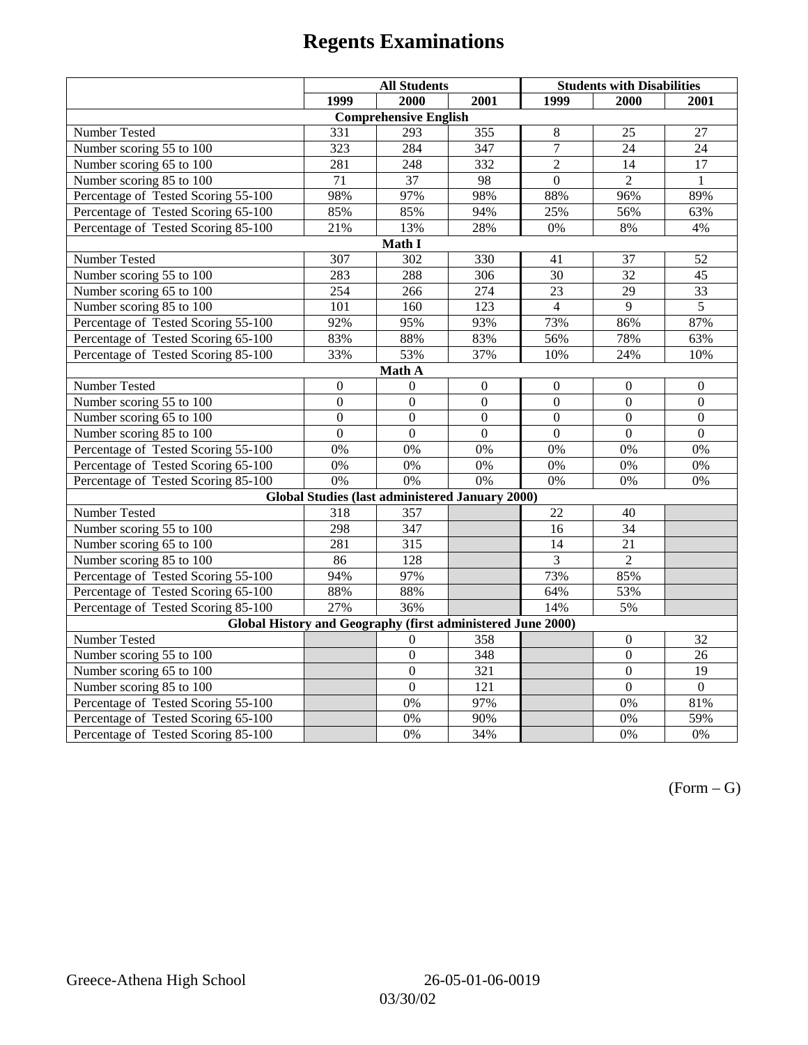|                                                             | <b>All Students</b> |                                                        |                  | <b>Students with Disabilities</b> |                  |                  |  |  |
|-------------------------------------------------------------|---------------------|--------------------------------------------------------|------------------|-----------------------------------|------------------|------------------|--|--|
|                                                             | 1999                | 2000                                                   | 2001             | 1999                              | 2000             | 2001             |  |  |
|                                                             |                     | <b>Comprehensive English</b>                           |                  |                                   |                  |                  |  |  |
| Number Tested                                               | 331                 | $\overline{293}$                                       | 355              | $\,8\,$                           | 25               | 27               |  |  |
| Number scoring 55 to 100                                    | 323                 | 284                                                    | 347              | $\overline{7}$                    | 24               | 24               |  |  |
| Number scoring 65 to 100                                    | 281                 | 248                                                    | 332              | $\overline{2}$                    | 14               | 17               |  |  |
| Number scoring 85 to 100                                    | $\overline{71}$     | $\overline{37}$                                        | 98               | $\Omega$                          | $\overline{2}$   | $\mathbf{1}$     |  |  |
| Percentage of Tested Scoring 55-100                         | 98%                 | 97%                                                    | 98%              | 88%                               | 96%              | 89%              |  |  |
| Percentage of Tested Scoring 65-100                         | 85%                 | 85%                                                    | 94%              | 25%                               | 56%              | 63%              |  |  |
| Percentage of Tested Scoring 85-100                         | 21%                 | 13%                                                    | 28%              | 0%                                | $8\%$            | 4%               |  |  |
|                                                             |                     | Math I                                                 |                  |                                   |                  |                  |  |  |
| Number Tested<br>307<br>302<br>330<br>41<br>37<br>52        |                     |                                                        |                  |                                   |                  |                  |  |  |
| Number scoring 55 to 100                                    | 283                 | 288                                                    | 306              | 30                                | 32               | 45               |  |  |
| Number scoring 65 to 100                                    | 254                 | 266                                                    | 274              | 23                                | 29               | $\overline{33}$  |  |  |
| Number scoring 85 to 100                                    | $\overline{101}$    | 160                                                    | $\overline{123}$ | $\overline{4}$                    | $\overline{9}$   | $\overline{5}$   |  |  |
| Percentage of Tested Scoring 55-100                         | 92%                 | 95%                                                    | 93%              | 73%                               | 86%              | 87%              |  |  |
| Percentage of Tested Scoring 65-100                         | 83%                 | 88%                                                    | 83%              | 56%                               | 78%              | 63%              |  |  |
| Percentage of Tested Scoring 85-100                         | 33%                 | 53%                                                    | 37%              | 10%                               | 24%              | 10%              |  |  |
| Math A                                                      |                     |                                                        |                  |                                   |                  |                  |  |  |
| Number Tested                                               | $\boldsymbol{0}$    | $\Omega$                                               | $\mathbf{0}$     | $\overline{0}$                    | $\mathbf{0}$     | $\mathbf{0}$     |  |  |
| Number scoring 55 to 100                                    | $\overline{0}$      | $\overline{0}$                                         | $\overline{0}$   | $\overline{0}$                    | $\overline{0}$   | $\overline{0}$   |  |  |
| Number scoring 65 to 100                                    | $\boldsymbol{0}$    | $\mathbf{0}$                                           | $\overline{0}$   | $\overline{0}$                    | $\boldsymbol{0}$ | $\boldsymbol{0}$ |  |  |
| Number scoring 85 to 100                                    | $\mathbf{0}$        | $\mathbf{0}$                                           | $\overline{0}$   | $\mathbf{0}$                      | $\mathbf{0}$     | $\boldsymbol{0}$ |  |  |
| Percentage of Tested Scoring 55-100                         | 0%                  | 0%                                                     | 0%               | 0%                                | 0%               | 0%               |  |  |
| Percentage of Tested Scoring 65-100                         | 0%                  | 0%                                                     | 0%               | 0%                                | 0%               | 0%               |  |  |
| Percentage of Tested Scoring 85-100                         | 0%                  | $\overline{0\%}$                                       | $\overline{0\%}$ | 0%                                | 0%               | 0%               |  |  |
|                                                             |                     | <b>Global Studies (last administered January 2000)</b> |                  |                                   |                  |                  |  |  |
| Number Tested                                               | 318                 | 357                                                    |                  | 22                                | 40               |                  |  |  |
| Number scoring 55 to 100                                    | 298                 | 347                                                    |                  | 16                                | 34               |                  |  |  |
| Number scoring 65 to 100                                    | 281                 | $\frac{1}{315}$                                        |                  | 14                                | 21               |                  |  |  |
| Number scoring $85 \overline{\text{to } 100}$               | 86                  | 128                                                    |                  | 3                                 | $\overline{2}$   |                  |  |  |
| Percentage of Tested Scoring 55-100                         | 94%                 | 97%                                                    |                  | 73%                               | 85%              |                  |  |  |
| Percentage of Tested Scoring 65-100                         | 88%                 | 88%                                                    |                  | 64%                               | 53%              |                  |  |  |
| Percentage of Tested Scoring 85-100                         | 27%                 | 36%                                                    |                  | 14%                               | 5%               |                  |  |  |
| Global History and Geography (first administered June 2000) |                     |                                                        |                  |                                   |                  |                  |  |  |
| Number Tested                                               |                     | 0                                                      | 358              |                                   | $\mathbf{0}$     | 32               |  |  |
| Number scoring 55 to 100                                    |                     | $\boldsymbol{0}$                                       | 348              |                                   | $\mathbf{0}$     | 26               |  |  |
| Number scoring 65 to 100                                    |                     | $\overline{0}$                                         | 321              |                                   | $\overline{0}$   | 19               |  |  |
| Number scoring 85 to 100                                    |                     | $\overline{0}$                                         | $\overline{121}$ |                                   | $\overline{0}$   | $\mathbf{0}$     |  |  |
| Percentage of Tested Scoring 55-100                         |                     | 0%                                                     | 97%              |                                   | $0\%$            | 81%              |  |  |
| Percentage of Tested Scoring 65-100                         |                     | 0%                                                     | 90%              |                                   | $0\%$            | 59%              |  |  |
| Percentage of Tested Scoring 85-100                         |                     | 0%                                                     | 34%              |                                   | 0%               | 0%               |  |  |

 $(Form - G)$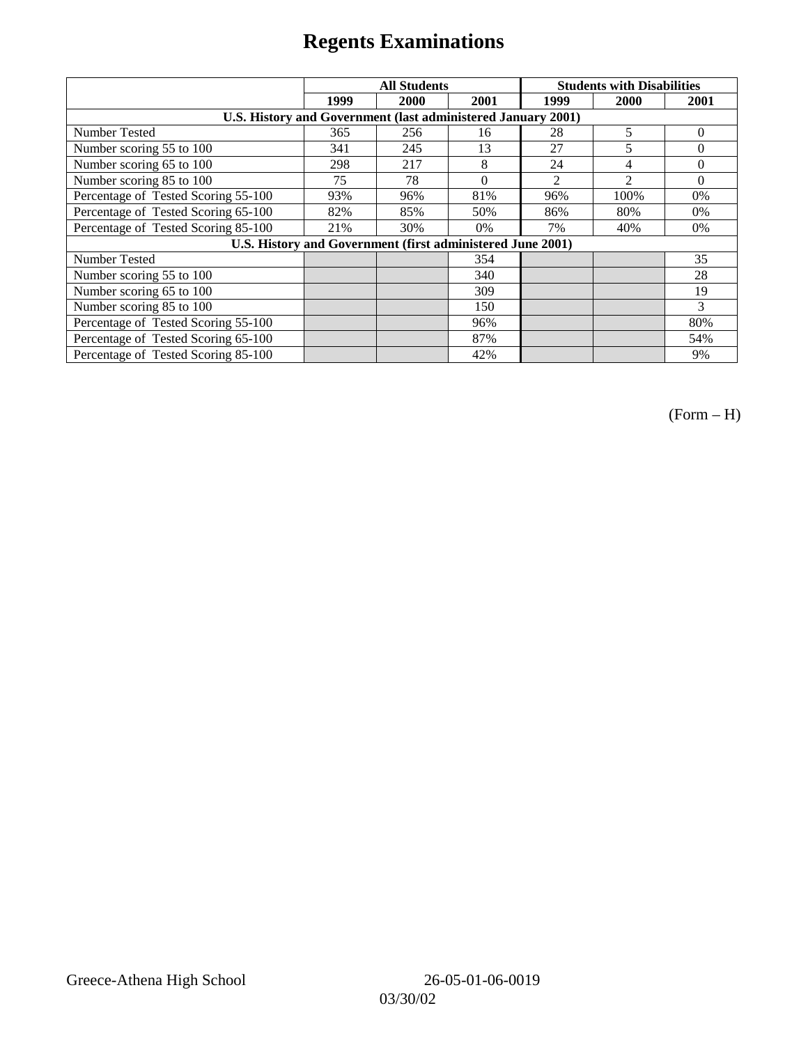|                                                              | <b>All Students</b> |                                                            |          | <b>Students with Disabilities</b> |                |          |
|--------------------------------------------------------------|---------------------|------------------------------------------------------------|----------|-----------------------------------|----------------|----------|
|                                                              | 1999                | 2000                                                       | 2001     | 1999                              | 2000           | 2001     |
| U.S. History and Government (last administered January 2001) |                     |                                                            |          |                                   |                |          |
| Number Tested                                                | 365                 | 256                                                        | 16       | 28                                | 5              | $\Omega$ |
| Number scoring 55 to 100                                     | 341                 | 245                                                        | 13       | 27                                | 5              | $\Omega$ |
| Number scoring 65 to 100                                     | 298                 | 217                                                        | 8        | 24                                | 4              | $\theta$ |
| Number scoring 85 to 100                                     | 75                  | 78                                                         | $\Omega$ | $\mathfrak{D}$                    | $\mathfrak{D}$ | $\Omega$ |
| Percentage of Tested Scoring 55-100                          | 93%                 | 96%                                                        | 81%      | 96%                               | 100%           | 0%       |
| Percentage of Tested Scoring 65-100                          | 82%                 | 85%                                                        | 50%      | 86%                               | 80%            | $0\%$    |
| Percentage of Tested Scoring 85-100                          | 21%                 | 30%                                                        | 0%       | 7%                                | 40%            | $0\%$    |
|                                                              |                     | U.S. History and Government (first administered June 2001) |          |                                   |                |          |
| Number Tested                                                |                     |                                                            | 354      |                                   |                | 35       |
| Number scoring 55 to 100                                     |                     |                                                            | 340      |                                   |                | 28       |
| Number scoring 65 to 100                                     |                     |                                                            | 309      |                                   |                | 19       |
| Number scoring 85 to 100                                     |                     |                                                            | 150      |                                   |                | 3        |
| Percentage of Tested Scoring 55-100                          |                     |                                                            | 96%      |                                   |                | 80%      |
| Percentage of Tested Scoring 65-100                          |                     |                                                            | 87%      |                                   |                | 54%      |
| Percentage of Tested Scoring 85-100                          |                     |                                                            | 42%      |                                   |                | 9%       |

(Form – H)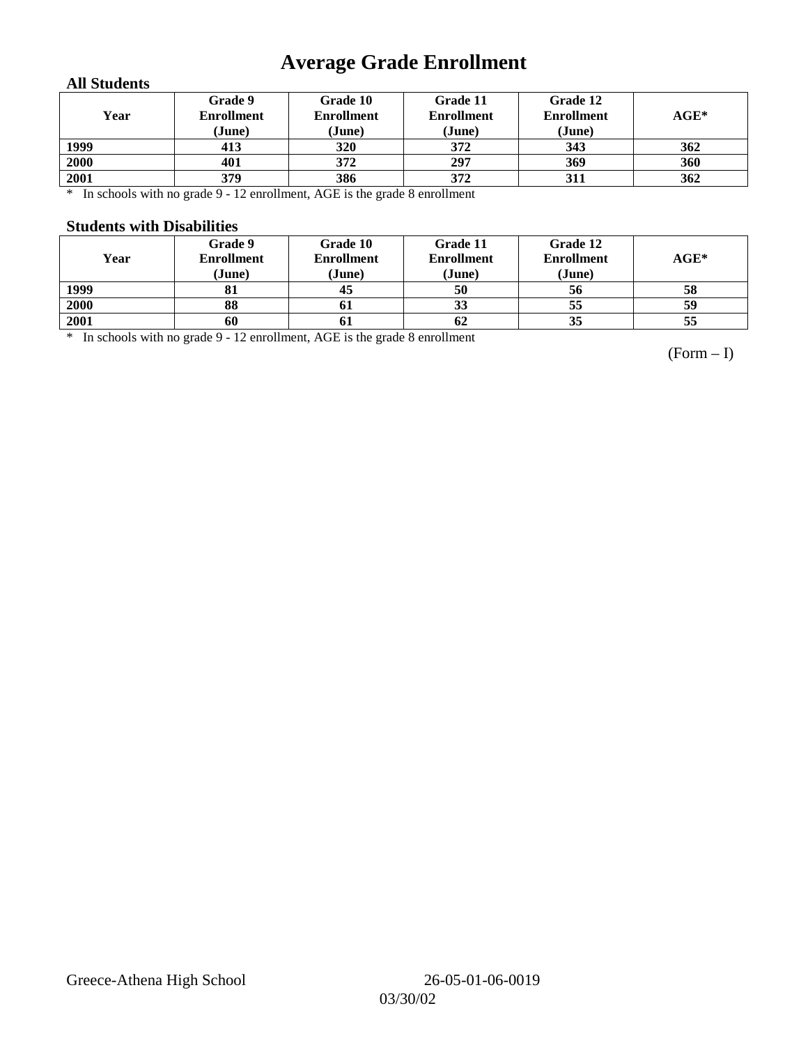## **Average Grade Enrollment**

#### **All Students**

| Year | Grade 9<br><b>Enrollment</b><br>(June) | Grade 10<br><b>Enrollment</b><br>(June) | Grade 11<br><b>Enrollment</b><br>(June) | Grade 12<br><b>Enrollment</b><br>(June) | $AGE^*$ |
|------|----------------------------------------|-----------------------------------------|-----------------------------------------|-----------------------------------------|---------|
| 1999 | 413                                    | <b>320</b>                              | 372                                     | 343                                     | 362     |
| 2000 | 401                                    | 372                                     | 297                                     | 369                                     | 360     |
| 2001 | 379                                    | 386                                     | 372                                     | 311                                     | 362     |

\* In schools with no grade 9 - 12 enrollment, AGE is the grade 8 enrollment

#### **Students with Disabilities**

| Year | Grade 9<br><b>Enrollment</b><br>(June) | Grade 10<br><b>Enrollment</b><br>(June) | Grade 11<br><b>Enrollment</b><br>(June) | Grade 12<br><b>Enrollment</b><br>(June) | $AGE^*$ |
|------|----------------------------------------|-----------------------------------------|-----------------------------------------|-----------------------------------------|---------|
| 1999 | oі                                     | 45                                      | 50                                      | 56                                      | 58      |
| 2000 | 88                                     | 01                                      | 33                                      | 55                                      | 59      |
| 2001 | 60                                     | 01                                      | 62                                      | 35                                      | 55      |

\* In schools with no grade 9 - 12 enrollment, AGE is the grade 8 enrollment

(Form – I)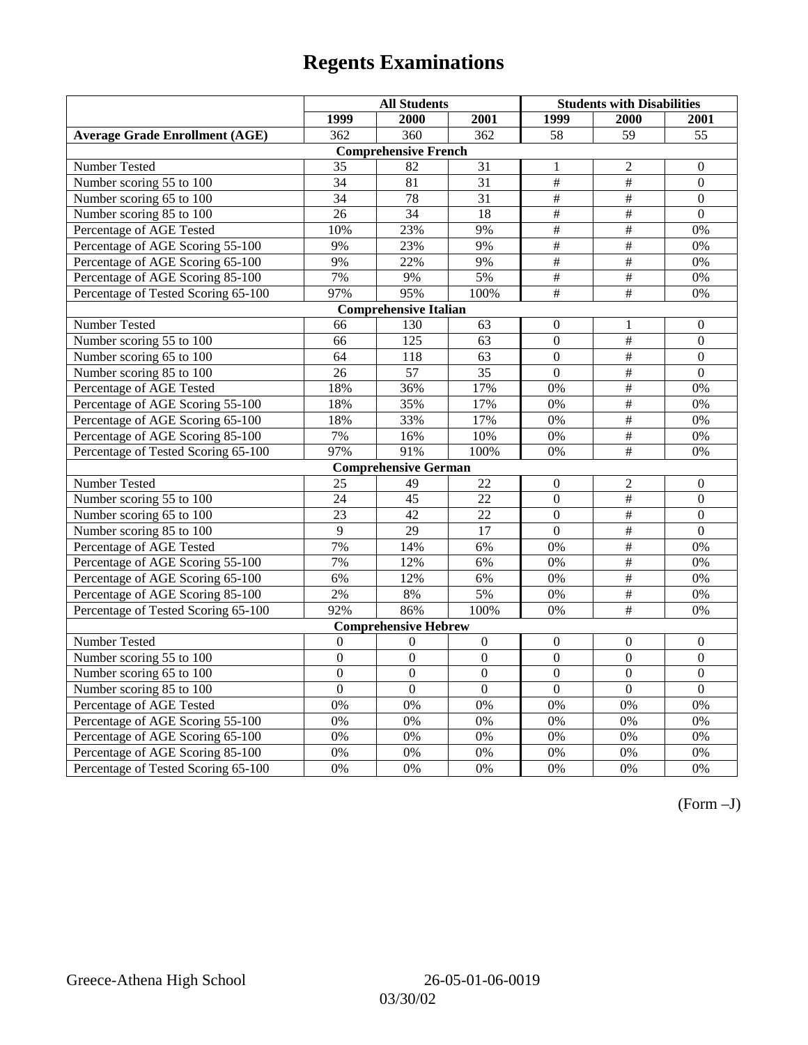|                                       | <b>All Students</b> |                              |                  | <b>Students with Disabilities</b> |                           |                  |
|---------------------------------------|---------------------|------------------------------|------------------|-----------------------------------|---------------------------|------------------|
|                                       | 1999                | 2000                         | 2001             | 1999                              | 2000                      | 2001             |
| <b>Average Grade Enrollment (AGE)</b> | 362                 | $\overline{360}$             | 362              | $\overline{58}$                   | $\overline{59}$           | $\overline{55}$  |
|                                       |                     | <b>Comprehensive French</b>  |                  |                                   |                           |                  |
| <b>Number Tested</b>                  | 35                  | 82                           | 31               | 1                                 | 2                         | $\mathbf{0}$     |
| Number scoring 55 to 100              | $\overline{34}$     | 81                           | $\overline{31}$  | $\overline{\overline{t}}$         | $\overline{\#}$           | $\overline{0}$   |
| Number scoring 65 to 100              | 34                  | 78                           | 31               | $\#$                              | $\#$                      | $\mathbf{0}$     |
| Number scoring 85 to 100              | 26                  | $\overline{34}$              | 18               | $\overline{\#}$                   | $\overline{\#}$           | $\mathbf{0}$     |
| Percentage of AGE Tested              | 10%                 | 23%                          | 9%               | $\overline{\#}$                   | #                         | 0%               |
| Percentage of AGE Scoring 55-100      | 9%                  | 23%                          | 9%               | #                                 | $\#$                      | 0%               |
| Percentage of AGE Scoring 65-100      | 9%                  | 22%                          | 9%               | $\overline{\overline{H}}$         | $\overline{\overline{t}}$ | 0%               |
| Percentage of AGE Scoring 85-100      | 7%                  | 9%                           | 5%               | $\overline{\#}$                   | $\overline{\#}$           | $0\%$            |
| Percentage of Tested Scoring 65-100   | 97%                 | 95%                          | 100%             | $\overline{\#}$                   | #                         | 0%               |
|                                       |                     | <b>Comprehensive Italian</b> |                  |                                   |                           |                  |
| Number Tested                         | 66                  | 130                          | 63               | $\Omega$                          | 1                         | $\boldsymbol{0}$ |
| Number scoring 55 to 100              | 66                  | 125                          | 63               | $\overline{0}$                    | $\#$                      | $\boldsymbol{0}$ |
| Number scoring 65 to 100              | 64                  | 118                          | 63               | $\overline{0}$                    | $\overline{\overline{t}}$ | $\mathbf{0}$     |
| Number scoring 85 to 100              | $\overline{26}$     | $\overline{57}$              | $\overline{35}$  | $\overline{0}$                    | $\overline{\overline{t}}$ | $\overline{0}$   |
| Percentage of AGE Tested              | 18%                 | 36%                          | 17%              | 0%                                | $\overline{\#}$           | 0%               |
| Percentage of AGE Scoring 55-100      | 18%                 | 35%                          | 17%              | 0%                                | #                         | 0%               |
| Percentage of AGE Scoring 65-100      | 18%                 | 33%                          | 17%              | 0%                                | $\overline{\#}$           | 0%               |
| Percentage of AGE Scoring 85-100      | 7%                  | 16%                          | 10%              | $0\%$                             | #                         | 0%               |
| Percentage of Tested Scoring 65-100   | 97%                 | 91%                          | 100%             | 0%                                | $\#$                      | 0%               |
|                                       |                     | <b>Comprehensive German</b>  |                  |                                   |                           |                  |
| Number Tested                         | 25                  | 49                           | 22               | $\overline{0}$                    | $\overline{2}$            | $\mathbf{0}$     |
| Number scoring 55 to 100              | 24                  | 45                           | 22               | $\overline{0}$                    | $\overline{\overline{}}$  | $\boldsymbol{0}$ |
| Number scoring 65 to 100              | $\overline{23}$     | $\overline{42}$              | $\overline{22}$  | $\overline{0}$                    | #                         | $\overline{0}$   |
| Number scoring 85 to 100              | 9                   | 29                           | $\overline{17}$  | $\overline{0}$                    | $\#$                      | $\overline{0}$   |
| Percentage of AGE Tested              | 7%                  | 14%                          | 6%               | 0%                                | #                         | 0%               |
| Percentage of AGE Scoring 55-100      | 7%                  | 12%                          | 6%               | 0%                                | $\overline{\#}$           | 0%               |
| Percentage of AGE Scoring 65-100      | 6%                  | 12%                          | 6%               | 0%                                | #                         | 0%               |
| Percentage of AGE Scoring 85-100      | 2%                  | 8%                           | 5%               | 0%                                | $\overline{\#}$           | 0%               |
| Percentage of Tested Scoring 65-100   | 92%                 | 86%                          | 100%             | $0\%$                             | $\overline{\#}$           | 0%               |
|                                       |                     | <b>Comprehensive Hebrew</b>  |                  |                                   |                           |                  |
| Number Tested                         | $\boldsymbol{0}$    | $\boldsymbol{0}$             | $\boldsymbol{0}$ | $\mathbf{0}$                      | $\theta$                  | $\boldsymbol{0}$ |
| Number scoring 55 to 100              | $\overline{0}$      | $\overline{0}$               | $\overline{0}$   | $\overline{0}$                    | $\overline{0}$            | $\overline{0}$   |
| Number scoring 65 to 100              | $\mathbf{0}$        | $\overline{0}$               | $\Omega$         | $\mathbf{0}$                      | $\boldsymbol{0}$          | $\boldsymbol{0}$ |
| Number scoring 85 to 100              | $\overline{0}$      | $\overline{0}$               | $\overline{0}$   | $\overline{0}$                    | $\overline{0}$            | $\overline{0}$   |
| Percentage of AGE Tested              | $\overline{0\%}$    | 0%                           | 0%               | 0%                                | 0%                        | 0%               |
| Percentage of AGE Scoring 55-100      | 0%                  | 0%                           | 0%               | 0%                                | 0%                        | 0%               |
| Percentage of AGE Scoring 65-100      | 0%                  | 0%                           | 0%               | 0%                                | 0%                        | 0%               |
| Percentage of AGE Scoring 85-100      | 0%                  | 0%                           | 0%               | $0\%$                             | 0%                        | 0%               |
| Percentage of Tested Scoring 65-100   | 0%                  | 0%                           | 0%               | 0%                                | 0%                        | 0%               |

(Form –J)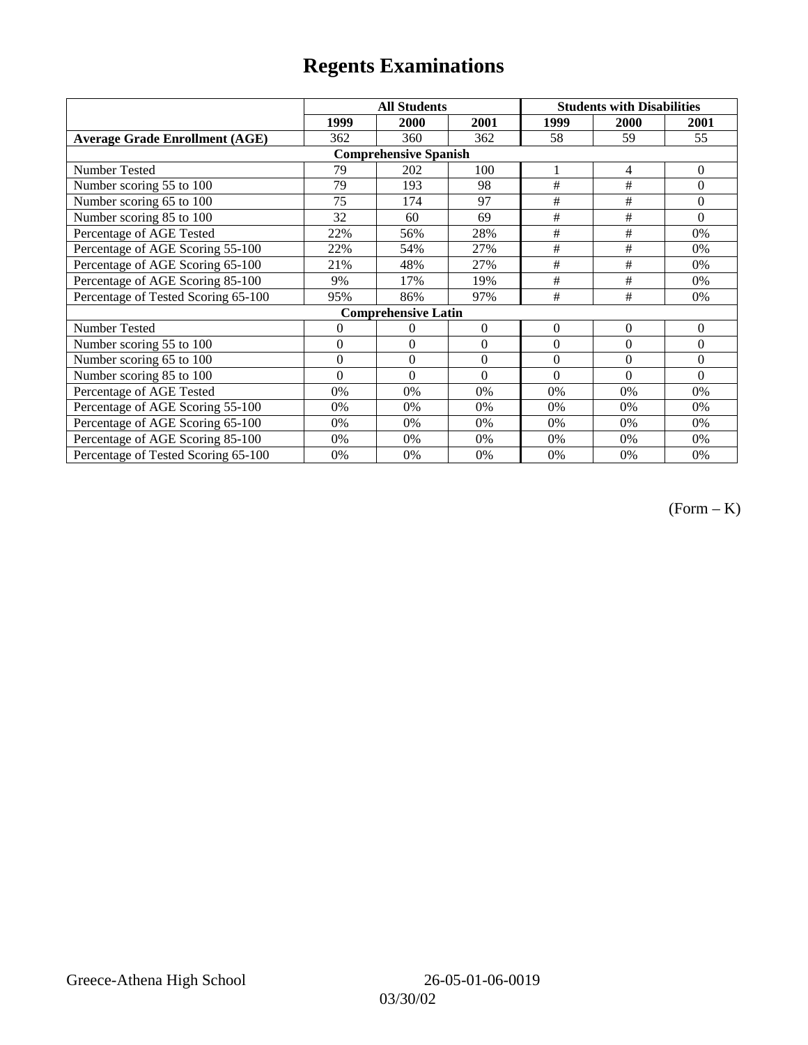|                                       | <b>All Students</b> |                              |              | <b>Students with Disabilities</b> |          |                |
|---------------------------------------|---------------------|------------------------------|--------------|-----------------------------------|----------|----------------|
|                                       | 1999                | 2000                         | 2001         | 1999                              | 2000     | 2001           |
| <b>Average Grade Enrollment (AGE)</b> | 362                 | 360                          | 362          | 58                                | 59       | 55             |
|                                       |                     | <b>Comprehensive Spanish</b> |              |                                   |          |                |
| <b>Number Tested</b>                  | 79                  | 202                          | 100          |                                   | 4        | $\mathbf{0}$   |
| Number scoring 55 to 100              | 79                  | 193                          | 98           | #                                 | #        | $\Omega$       |
| Number scoring 65 to 100              | 75                  | 174                          | 97           | #                                 | #        | $\Omega$       |
| Number scoring 85 to 100              | 32                  | 60                           | 69           | #                                 | #        | $\Omega$       |
| Percentage of AGE Tested              | 22%                 | 56%                          | 28%          | $\#$                              | $\#$     | 0%             |
| Percentage of AGE Scoring 55-100      | 22%                 | 54%                          | 27%          | $\#$                              | $\#$     | 0%             |
| Percentage of AGE Scoring 65-100      | 21%                 | 48%                          | 27%          | #                                 | #        | 0%             |
| Percentage of AGE Scoring 85-100      | 9%                  | 17%                          | 19%          | #                                 | #        | 0%             |
| Percentage of Tested Scoring 65-100   | 95%                 | 86%                          | 97%          | #                                 | #        | 0%             |
|                                       |                     | <b>Comprehensive Latin</b>   |              |                                   |          |                |
| Number Tested                         | 0                   | 0                            | $\mathbf{0}$ | $\theta$                          | $\theta$ | $\overline{0}$ |
| Number scoring 55 to 100              | $\overline{0}$      | $\overline{0}$               | $\Omega$     | $\theta$                          | $\theta$ | $\Omega$       |
| Number scoring 65 to 100              | $\mathbf{0}$        | $\mathbf{0}$                 | $\Omega$     | $\theta$                          | $\theta$ | $\Omega$       |
| Number scoring 85 to 100              | $\theta$            | $\theta$                     | $\Omega$     | $\theta$                          | $\theta$ | $\Omega$       |
| Percentage of AGE Tested              | 0%                  | 0%                           | $0\%$        | 0%                                | 0%       | 0%             |
| Percentage of AGE Scoring 55-100      | 0%                  | 0%                           | 0%           | 0%                                | 0%       | 0%             |
| Percentage of AGE Scoring 65-100      | 0%                  | 0%                           | 0%           | 0%                                | 0%       | 0%             |
| Percentage of AGE Scoring 85-100      | 0%                  | 0%                           | 0%           | 0%                                | 0%       | $0\%$          |
| Percentage of Tested Scoring 65-100   | 0%                  | 0%                           | 0%           | 0%                                | 0%       | $0\%$          |

(Form – K)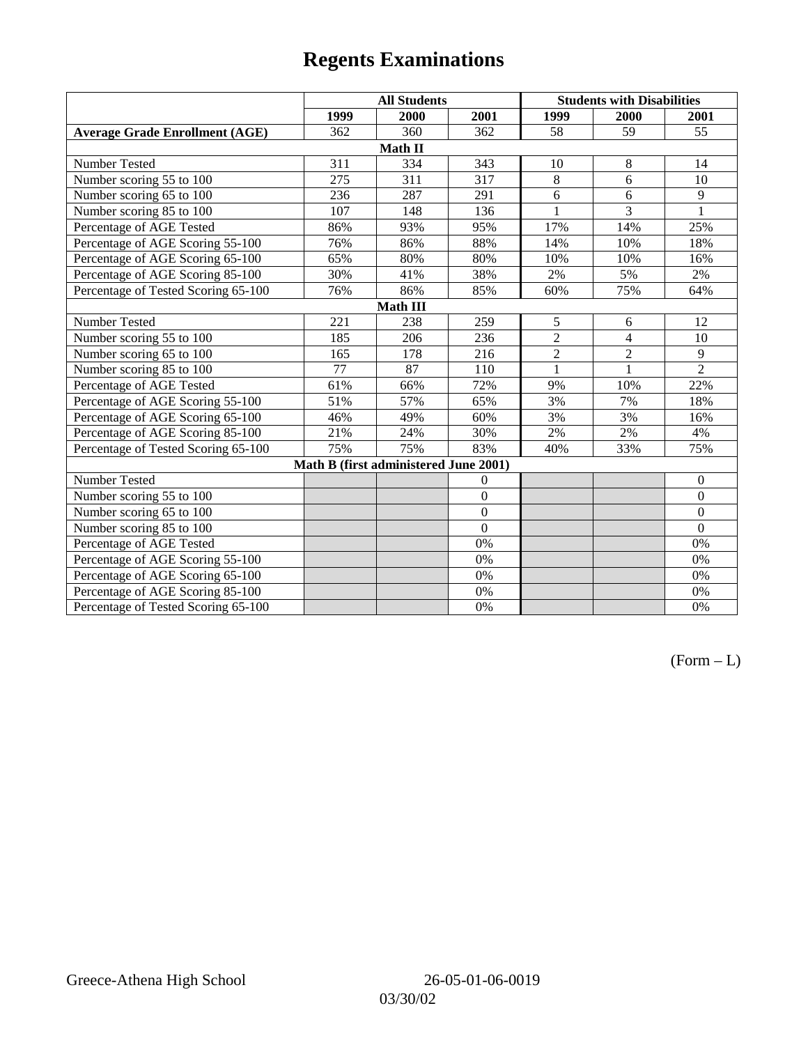|                                       | <b>All Students</b> |                                       |                |                | <b>Students with Disabilities</b> |                  |  |  |
|---------------------------------------|---------------------|---------------------------------------|----------------|----------------|-----------------------------------|------------------|--|--|
|                                       | 1999                | 2000                                  | 2001           | 1999           | 2000                              | 2001             |  |  |
| <b>Average Grade Enrollment (AGE)</b> | 362                 | 360                                   | 362            | 58             | 59                                | 55               |  |  |
|                                       |                     | Math II                               |                |                |                                   |                  |  |  |
| Number Tested                         | 311                 | 334                                   | 343            | 10             | 8                                 | 14               |  |  |
| Number scoring 55 to 100              | 275                 | 311                                   | 317            | 8              | 6                                 | 10               |  |  |
| Number scoring 65 to 100              | 236                 | 287                                   | 291            | 6              | 6                                 | 9                |  |  |
| Number scoring 85 to 100              | 107                 | 148                                   | 136            | 1              | 3                                 | 1                |  |  |
| Percentage of AGE Tested              | 86%                 | 93%                                   | 95%            | 17%            | 14%                               | 25%              |  |  |
| Percentage of AGE Scoring 55-100      | 76%                 | 86%                                   | 88%            | 14%            | 10%                               | 18%              |  |  |
| Percentage of AGE Scoring 65-100      | 65%                 | 80%                                   | 80%            | 10%            | 10%                               | 16%              |  |  |
| Percentage of AGE Scoring 85-100      | 30%                 | 41%                                   | 38%            | 2%             | 5%                                | 2%               |  |  |
| Percentage of Tested Scoring 65-100   | 76%                 | 86%                                   | 85%            | 60%            | 75%                               | 64%              |  |  |
| Math III                              |                     |                                       |                |                |                                   |                  |  |  |
| Number Tested                         | 221                 | 238                                   | 259            | 5              | 6                                 | 12               |  |  |
| Number scoring 55 to 100              | 185                 | 206                                   | 236            | $\overline{2}$ | 4                                 | 10               |  |  |
| Number scoring 65 to 100              | 165                 | 178                                   | 216            | $\overline{2}$ | $\overline{2}$                    | 9                |  |  |
| Number scoring 85 to 100              | 77                  | 87                                    | 110            | $\mathbf{1}$   | $\mathbf{1}$                      | $\overline{2}$   |  |  |
| Percentage of AGE Tested              | 61%                 | 66%                                   | 72%            | 9%             | 10%                               | 22%              |  |  |
| Percentage of AGE Scoring 55-100      | 51%                 | 57%                                   | 65%            | 3%             | 7%                                | 18%              |  |  |
| Percentage of AGE Scoring 65-100      | 46%                 | 49%                                   | 60%            | 3%             | 3%                                | 16%              |  |  |
| Percentage of AGE Scoring 85-100      | 21%                 | 24%                                   | 30%            | 2%             | 2%                                | 4%               |  |  |
| Percentage of Tested Scoring 65-100   | 75%                 | 75%                                   | 83%            | 40%            | 33%                               | 75%              |  |  |
|                                       |                     | Math B (first administered June 2001) |                |                |                                   |                  |  |  |
| Number Tested                         |                     |                                       | $\overline{0}$ |                |                                   | $\boldsymbol{0}$ |  |  |
| Number scoring 55 to 100              |                     |                                       | $\overline{0}$ |                |                                   | $\boldsymbol{0}$ |  |  |
| Number scoring 65 to 100              |                     |                                       | $\overline{0}$ |                |                                   | $\boldsymbol{0}$ |  |  |
| Number scoring 85 to 100              |                     |                                       | $\overline{0}$ |                |                                   | $\overline{0}$   |  |  |
| Percentage of AGE Tested              |                     |                                       | 0%             |                |                                   | 0%               |  |  |
| Percentage of AGE Scoring 55-100      |                     |                                       | 0%             |                |                                   | $0\%$            |  |  |
| Percentage of AGE Scoring 65-100      |                     |                                       | 0%             |                |                                   | 0%               |  |  |
| Percentage of AGE Scoring 85-100      |                     |                                       | 0%             |                |                                   | 0%               |  |  |
| Percentage of Tested Scoring 65-100   |                     |                                       | 0%             |                |                                   | 0%               |  |  |

 $(Form - L)$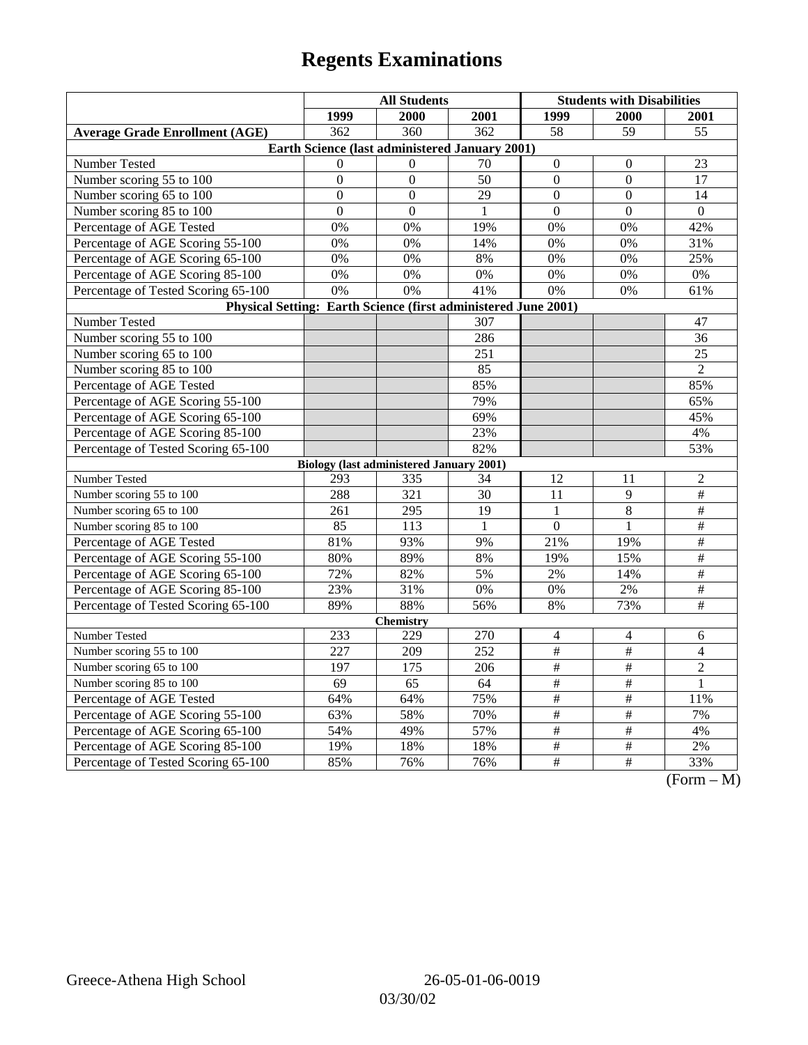| 1999<br>2000<br>2001<br>1999<br>2000<br>2001<br>$\overline{58}$<br>$\overline{59}$<br><b>Average Grade Enrollment (AGE)</b><br>362<br>360<br>362<br>55<br>Earth Science (last administered January 2001)<br>Number Tested<br>$70\,$<br>$\overline{0}$<br>$\Omega$<br>$\Omega$<br>23<br>$\Omega$<br>Number scoring 55 to 100<br>50<br>$\mathbf{0}$<br>$\boldsymbol{0}$<br>$\boldsymbol{0}$<br>$\Omega$<br>17<br>Number scoring 65 to 100<br>$\overline{0}$<br>$\overline{0}$<br>29<br>$\boldsymbol{0}$<br>$\boldsymbol{0}$<br>14<br>$\mathbf{0}$<br>$\mathbf{0}$<br>$\mathbf{0}$<br>$\boldsymbol{0}$<br>$\mathbf{0}$<br>Number scoring 85 to 100<br>$\mathbf{1}$<br>Percentage of AGE Tested<br>0%<br>0%<br>19%<br>0%<br>0%<br>42%<br>Percentage of AGE Scoring 55-100<br>0%<br>0%<br>14%<br>0%<br>0%<br>31%<br>Percentage of AGE Scoring 65-100<br>0%<br>0%<br>8%<br>0%<br>0%<br>25%<br>Percentage of AGE Scoring 85-100<br>$0\%$<br>0%<br>0%<br>0%<br>0%<br>0% |  |  |  |  |  |  |  |
|-----------------------------------------------------------------------------------------------------------------------------------------------------------------------------------------------------------------------------------------------------------------------------------------------------------------------------------------------------------------------------------------------------------------------------------------------------------------------------------------------------------------------------------------------------------------------------------------------------------------------------------------------------------------------------------------------------------------------------------------------------------------------------------------------------------------------------------------------------------------------------------------------------------------------------------------------------------------|--|--|--|--|--|--|--|
|                                                                                                                                                                                                                                                                                                                                                                                                                                                                                                                                                                                                                                                                                                                                                                                                                                                                                                                                                                 |  |  |  |  |  |  |  |
|                                                                                                                                                                                                                                                                                                                                                                                                                                                                                                                                                                                                                                                                                                                                                                                                                                                                                                                                                                 |  |  |  |  |  |  |  |
|                                                                                                                                                                                                                                                                                                                                                                                                                                                                                                                                                                                                                                                                                                                                                                                                                                                                                                                                                                 |  |  |  |  |  |  |  |
|                                                                                                                                                                                                                                                                                                                                                                                                                                                                                                                                                                                                                                                                                                                                                                                                                                                                                                                                                                 |  |  |  |  |  |  |  |
|                                                                                                                                                                                                                                                                                                                                                                                                                                                                                                                                                                                                                                                                                                                                                                                                                                                                                                                                                                 |  |  |  |  |  |  |  |
|                                                                                                                                                                                                                                                                                                                                                                                                                                                                                                                                                                                                                                                                                                                                                                                                                                                                                                                                                                 |  |  |  |  |  |  |  |
|                                                                                                                                                                                                                                                                                                                                                                                                                                                                                                                                                                                                                                                                                                                                                                                                                                                                                                                                                                 |  |  |  |  |  |  |  |
|                                                                                                                                                                                                                                                                                                                                                                                                                                                                                                                                                                                                                                                                                                                                                                                                                                                                                                                                                                 |  |  |  |  |  |  |  |
|                                                                                                                                                                                                                                                                                                                                                                                                                                                                                                                                                                                                                                                                                                                                                                                                                                                                                                                                                                 |  |  |  |  |  |  |  |
|                                                                                                                                                                                                                                                                                                                                                                                                                                                                                                                                                                                                                                                                                                                                                                                                                                                                                                                                                                 |  |  |  |  |  |  |  |
|                                                                                                                                                                                                                                                                                                                                                                                                                                                                                                                                                                                                                                                                                                                                                                                                                                                                                                                                                                 |  |  |  |  |  |  |  |
| Percentage of Tested Scoring 65-100<br>0%<br>0%<br>41%<br>0%<br>0%<br>61%                                                                                                                                                                                                                                                                                                                                                                                                                                                                                                                                                                                                                                                                                                                                                                                                                                                                                       |  |  |  |  |  |  |  |
| Physical Setting: Earth Science (first administered June 2001)                                                                                                                                                                                                                                                                                                                                                                                                                                                                                                                                                                                                                                                                                                                                                                                                                                                                                                  |  |  |  |  |  |  |  |
| Number Tested<br>307<br>47                                                                                                                                                                                                                                                                                                                                                                                                                                                                                                                                                                                                                                                                                                                                                                                                                                                                                                                                      |  |  |  |  |  |  |  |
| Number scoring 55 to 100<br>286<br>36                                                                                                                                                                                                                                                                                                                                                                                                                                                                                                                                                                                                                                                                                                                                                                                                                                                                                                                           |  |  |  |  |  |  |  |
| Number scoring 65 to 100<br>251<br>25                                                                                                                                                                                                                                                                                                                                                                                                                                                                                                                                                                                                                                                                                                                                                                                                                                                                                                                           |  |  |  |  |  |  |  |
| Number scoring 85 to 100<br>85<br>$\mathbf{2}$                                                                                                                                                                                                                                                                                                                                                                                                                                                                                                                                                                                                                                                                                                                                                                                                                                                                                                                  |  |  |  |  |  |  |  |
| 85%<br>Percentage of AGE Tested<br>85%                                                                                                                                                                                                                                                                                                                                                                                                                                                                                                                                                                                                                                                                                                                                                                                                                                                                                                                          |  |  |  |  |  |  |  |
| 79%<br>Percentage of AGE Scoring 55-100<br>65%                                                                                                                                                                                                                                                                                                                                                                                                                                                                                                                                                                                                                                                                                                                                                                                                                                                                                                                  |  |  |  |  |  |  |  |
| Percentage of AGE Scoring 65-100<br>69%<br>45%                                                                                                                                                                                                                                                                                                                                                                                                                                                                                                                                                                                                                                                                                                                                                                                                                                                                                                                  |  |  |  |  |  |  |  |
| Percentage of AGE Scoring 85-100<br>23%<br>4%                                                                                                                                                                                                                                                                                                                                                                                                                                                                                                                                                                                                                                                                                                                                                                                                                                                                                                                   |  |  |  |  |  |  |  |
| Percentage of Tested Scoring 65-100<br>82%<br>53%                                                                                                                                                                                                                                                                                                                                                                                                                                                                                                                                                                                                                                                                                                                                                                                                                                                                                                               |  |  |  |  |  |  |  |
| <b>Biology (last administered January 2001)</b>                                                                                                                                                                                                                                                                                                                                                                                                                                                                                                                                                                                                                                                                                                                                                                                                                                                                                                                 |  |  |  |  |  |  |  |
| Number Tested<br>$\overline{c}$<br>293<br>335<br>34<br>12<br>11                                                                                                                                                                                                                                                                                                                                                                                                                                                                                                                                                                                                                                                                                                                                                                                                                                                                                                 |  |  |  |  |  |  |  |
| $\overline{\ddot{}}$<br>Number scoring 55 to 100<br>288<br>321<br>11<br>9<br>30                                                                                                                                                                                                                                                                                                                                                                                                                                                                                                                                                                                                                                                                                                                                                                                                                                                                                 |  |  |  |  |  |  |  |
| Number scoring 65 to 100<br>8<br>$\frac{1}{2}$<br>261<br>295<br>19<br>$\mathbf{1}$                                                                                                                                                                                                                                                                                                                                                                                                                                                                                                                                                                                                                                                                                                                                                                                                                                                                              |  |  |  |  |  |  |  |
| $\overline{\ddot{}}$<br>Number scoring 85 to 100<br>85<br>113<br>$\Omega$<br>1<br>1                                                                                                                                                                                                                                                                                                                                                                                                                                                                                                                                                                                                                                                                                                                                                                                                                                                                             |  |  |  |  |  |  |  |
| $\#$<br>81%<br>93%<br>Percentage of AGE Tested<br>9%<br>21%<br>19%                                                                                                                                                                                                                                                                                                                                                                                                                                                                                                                                                                                                                                                                                                                                                                                                                                                                                              |  |  |  |  |  |  |  |
| $\overline{\#}$<br>80%<br>89%<br>15%<br>Percentage of AGE Scoring 55-100<br>8%<br>19%                                                                                                                                                                                                                                                                                                                                                                                                                                                                                                                                                                                                                                                                                                                                                                                                                                                                           |  |  |  |  |  |  |  |
| Percentage of AGE Scoring 65-100<br>72%<br>82%<br>5%<br>2%<br>14%<br>$\#$                                                                                                                                                                                                                                                                                                                                                                                                                                                                                                                                                                                                                                                                                                                                                                                                                                                                                       |  |  |  |  |  |  |  |
| Percentage of AGE Scoring 85-100<br>$\overline{\#}$<br>23%<br>31%<br>$2\%$<br>0%<br>0%                                                                                                                                                                                                                                                                                                                                                                                                                                                                                                                                                                                                                                                                                                                                                                                                                                                                          |  |  |  |  |  |  |  |
| $\overline{\#}$<br>88%<br>89%<br>56%<br>8%<br>73%<br>Percentage of Tested Scoring 65-100                                                                                                                                                                                                                                                                                                                                                                                                                                                                                                                                                                                                                                                                                                                                                                                                                                                                        |  |  |  |  |  |  |  |
| <b>Chemistry</b>                                                                                                                                                                                                                                                                                                                                                                                                                                                                                                                                                                                                                                                                                                                                                                                                                                                                                                                                                |  |  |  |  |  |  |  |
| Number Tested<br>233<br>270<br>229<br>$\overline{\mathcal{A}}$<br>4<br>6                                                                                                                                                                                                                                                                                                                                                                                                                                                                                                                                                                                                                                                                                                                                                                                                                                                                                        |  |  |  |  |  |  |  |
| $\#$<br>$\#$<br>Number scoring 55 to 100<br>227<br>209<br>252<br>$\overline{4}$                                                                                                                                                                                                                                                                                                                                                                                                                                                                                                                                                                                                                                                                                                                                                                                                                                                                                 |  |  |  |  |  |  |  |
| 197<br>$\frac{1}{2}$<br>$\frac{1}{2}$<br>$\overline{2}$<br>Number scoring 65 to 100<br>175<br>206                                                                                                                                                                                                                                                                                                                                                                                                                                                                                                                                                                                                                                                                                                                                                                                                                                                               |  |  |  |  |  |  |  |
| Number scoring 85 to 100<br>69<br>65<br>$\#$<br>$\#$<br>64<br>$\mathbf{1}$                                                                                                                                                                                                                                                                                                                                                                                                                                                                                                                                                                                                                                                                                                                                                                                                                                                                                      |  |  |  |  |  |  |  |
| $\#$<br>$\#$<br>Percentage of AGE Tested<br>64%<br>64%<br>75%<br>11%                                                                                                                                                                                                                                                                                                                                                                                                                                                                                                                                                                                                                                                                                                                                                                                                                                                                                            |  |  |  |  |  |  |  |
| $\#$<br>#<br>63%<br>58%<br>70%<br>7%<br>Percentage of AGE Scoring 55-100                                                                                                                                                                                                                                                                                                                                                                                                                                                                                                                                                                                                                                                                                                                                                                                                                                                                                        |  |  |  |  |  |  |  |
| 54%<br>57%<br>$\overline{\#}$<br>$\overline{\#}$<br>Percentage of AGE Scoring 65-100<br>49%<br>4%                                                                                                                                                                                                                                                                                                                                                                                                                                                                                                                                                                                                                                                                                                                                                                                                                                                               |  |  |  |  |  |  |  |
| $\frac{1}{2}$<br>$\frac{1}{2}$<br>Percentage of AGE Scoring 85-100<br>19%<br>18%<br>18%<br>$2\%$                                                                                                                                                                                                                                                                                                                                                                                                                                                                                                                                                                                                                                                                                                                                                                                                                                                                |  |  |  |  |  |  |  |
| $\overline{\#}$<br>Percentage of Tested Scoring 65-100<br>$\#$<br>85%<br>76%<br>76%<br>33%<br>$\Gamma$<br>$\mathbf{M}$                                                                                                                                                                                                                                                                                                                                                                                                                                                                                                                                                                                                                                                                                                                                                                                                                                          |  |  |  |  |  |  |  |

(Form – M)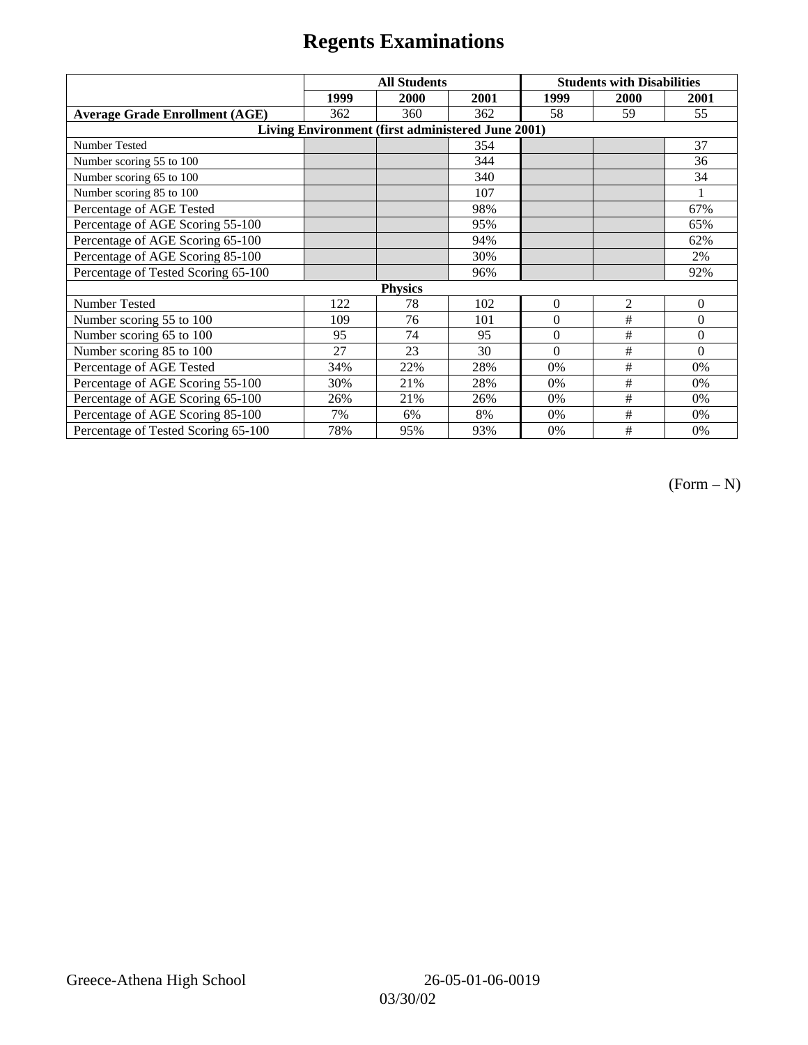|                                                   | <b>All Students</b> |      |      | <b>Students with Disabilities</b> |                |          |  |  |
|---------------------------------------------------|---------------------|------|------|-----------------------------------|----------------|----------|--|--|
|                                                   | 1999                | 2000 | 2001 | 1999                              | 2000           | 2001     |  |  |
| <b>Average Grade Enrollment (AGE)</b>             | 362                 | 360  | 362  | 58                                | 59             | 55       |  |  |
| Living Environment (first administered June 2001) |                     |      |      |                                   |                |          |  |  |
| <b>Number Tested</b>                              |                     |      | 354  |                                   |                | 37       |  |  |
| Number scoring 55 to 100                          |                     |      | 344  |                                   |                | 36       |  |  |
| Number scoring 65 to 100                          |                     |      | 340  |                                   |                | 34       |  |  |
| Number scoring 85 to 100                          |                     |      | 107  |                                   |                |          |  |  |
| Percentage of AGE Tested                          |                     |      | 98%  |                                   |                | 67%      |  |  |
| Percentage of AGE Scoring 55-100                  |                     |      | 95%  |                                   |                | 65%      |  |  |
| Percentage of AGE Scoring 65-100                  |                     |      | 94%  |                                   |                | 62%      |  |  |
| Percentage of AGE Scoring 85-100                  |                     |      | 30%  |                                   |                | 2%       |  |  |
| Percentage of Tested Scoring 65-100               |                     |      | 96%  |                                   |                | 92%      |  |  |
| <b>Physics</b>                                    |                     |      |      |                                   |                |          |  |  |
| Number Tested                                     | 122                 | 78   | 102  | $\mathbf{0}$                      | $\mathfrak{2}$ | $\theta$ |  |  |
| Number scoring 55 to 100                          | 109                 | 76   | 101  | $\Omega$                          | #              | $\theta$ |  |  |
| Number scoring 65 to 100                          | 95                  | 74   | 95   | $\mathbf{0}$                      | #              | $\theta$ |  |  |
| Number scoring 85 to 100                          | 27                  | 23   | 30   | $\Omega$                          | #              | $\Omega$ |  |  |
| Percentage of AGE Tested                          | 34%                 | 22%  | 28%  | 0%                                | #              | 0%       |  |  |
| Percentage of AGE Scoring 55-100                  | 30%                 | 21%  | 28%  | 0%                                | $\#$           | 0%       |  |  |
| Percentage of AGE Scoring 65-100                  | 26%                 | 21%  | 26%  | 0%                                | #              | 0%       |  |  |
| Percentage of AGE Scoring 85-100                  | 7%                  | 6%   | 8%   | 0%                                | #              | $0\%$    |  |  |
| Percentage of Tested Scoring 65-100               | 78%                 | 95%  | 93%  | 0%                                | #              | 0%       |  |  |

 $(Form - N)$